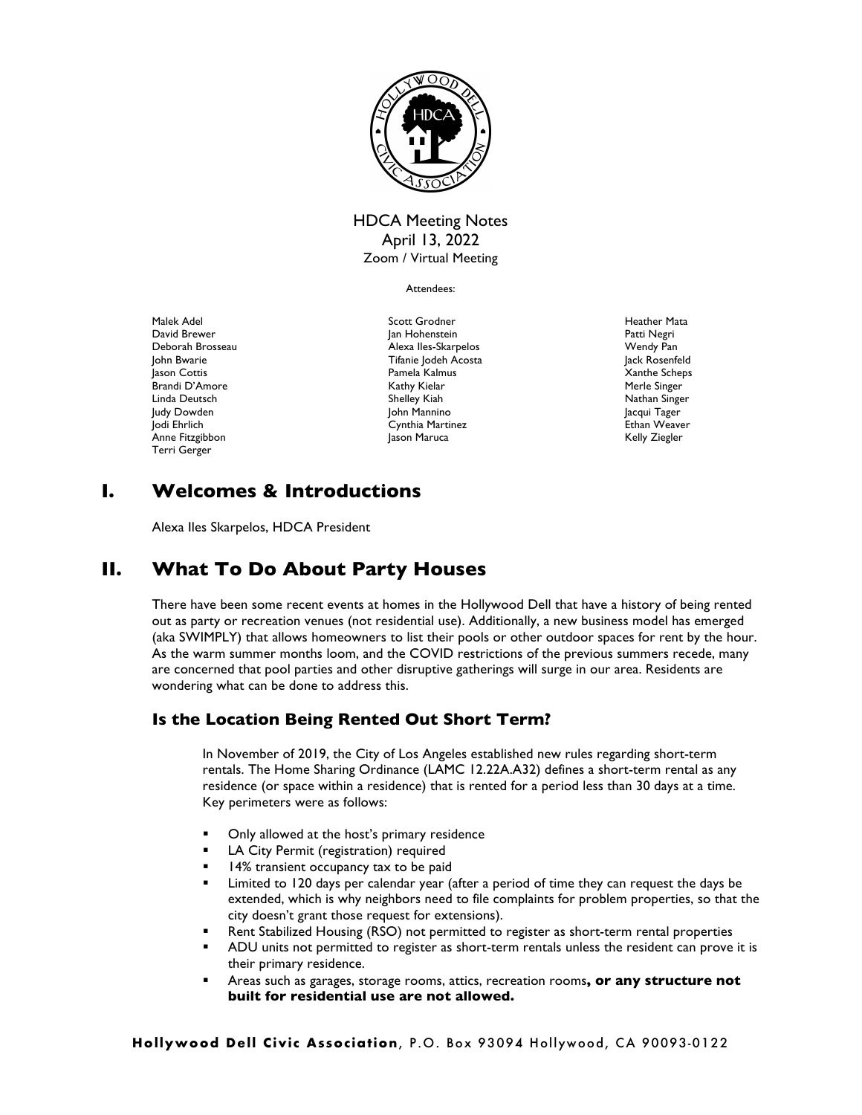

## HDCA Meeting Notes April 13, 2022 Zoom / Virtual Meeting

Attendees:

Malek Adel David Brewer Deborah Brosseau John Bwarie Jason Cottis Brandi D'Amore Linda Deutsch Judy Dowden Jodi Ehrlich Anne Fitzgibbon Terri Gerger

Scott Grodner Jan Hohenstein Alexa Iles-Skarpelos Tifanie Jodeh Acosta Pamela Kalmus Kathy Kielar Shelley Kiah John Mannino Cynthia Martinez Jason Maruca

Heather Mata Patti Negri Wendy Pan Jack Rosenfeld Xanthe Scheps Merle Singer Nathan Singer Jacqui Tager Ethan Weaver Kelly Ziegler

# **I. Welcomes & Introductions**

Alexa Iles Skarpelos, HDCA President

# **II. What To Do About Party Houses**

There have been some recent events at homes in the Hollywood Dell that have a history of being rented out as party or recreation venues (not residential use). Additionally, a new business model has emerged (aka SWIMPLY) that allows homeowners to list their pools or other outdoor spaces for rent by the hour. As the warm summer months loom, and the COVID restrictions of the previous summers recede, many are concerned that pool parties and other disruptive gatherings will surge in our area. Residents are wondering what can be done to address this.

## **Is the Location Being Rented Out Short Term?**

In November of 2019, the City of Los Angeles established new rules regarding short-term rentals. The Home Sharing Ordinance (LAMC 12.22A.A32) defines a short-term rental as any residence (or space within a residence) that is rented for a period less than 30 days at a time. Key perimeters were as follows:

- Only allowed at the host's primary residence
- LA City Permit (registration) required
- 14% transient occupancy tax to be paid
- Limited to 120 days per calendar year (after a period of time they can request the days be extended, which is why neighbors need to file complaints for problem properties, so that the city doesn't grant those request for extensions).
- Rent Stabilized Housing (RSO) not permitted to register as short-term rental properties
- ADU units not permitted to register as short-term rentals unless the resident can prove it is their primary residence.
- ! Areas such as garages, storage rooms, attics, recreation rooms**, or any structure not built for residential use are not allowed.**

**Hollywood Dell Civic Association**, P.O. Box 93094 Hollywood, CA 90093-0122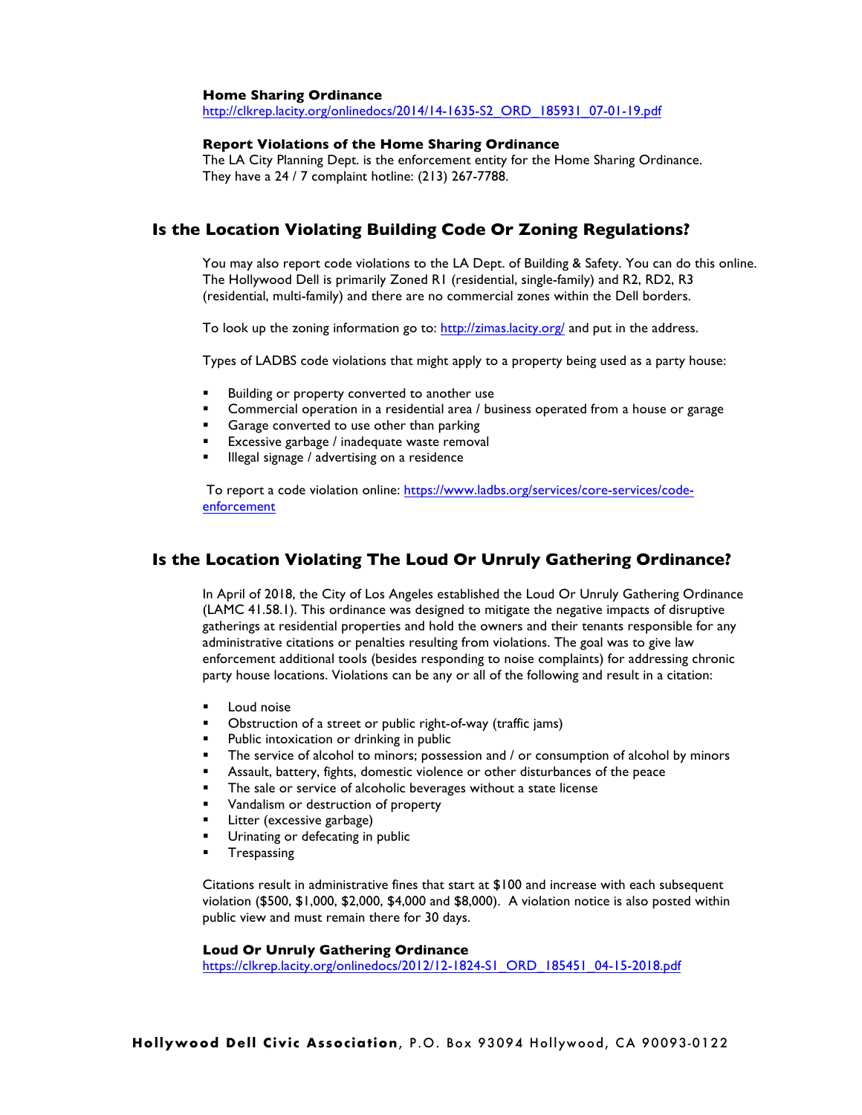#### **Home Sharing Ordinance**

http://clkrep.lacity.org/onlinedocs/2014/14-1635-S2\_ORD\_185931\_07-01-19.pdf

#### **Report Violations of the Home Sharing Ordinance**

The LA City Planning Dept. is the enforcement entity for the Home Sharing Ordinance. They have a 24 / 7 complaint hotline: (213) 267-7788.

### **Is the Location Violating Building Code Or Zoning Regulations?**

You may also report code violations to the LA Dept. of Building & Safety. You can do this online. The Hollywood Dell is primarily Zoned R1 (residential, single-family) and R2, RD2, R3 (residential, multi-family) and there are no commercial zones within the Dell borders.

To look up the zoning information go to: http://zimas.lacity.org/ and put in the address.

Types of LADBS code violations that might apply to a property being used as a party house:

- Building or property converted to another use
- Commercial operation in a residential area / business operated from a house or garage
- **Example 2** Garage converted to use other than parking<br>**Expressive garbage / inadequate waste remove**
- Excessive garbage / inadequate waste removal
- Illegal signage / advertising on a residence

To report a code violation online: https://www.ladbs.org/services/core-services/codeenforcement

### **Is the Location Violating The Loud Or Unruly Gathering Ordinance?**

In April of 2018, the City of Los Angeles established the Loud Or Unruly Gathering Ordinance (LAMC 41.58.1). This ordinance was designed to mitigate the negative impacts of disruptive gatherings at residential properties and hold the owners and their tenants responsible for any administrative citations or penalties resulting from violations. The goal was to give law enforcement additional tools (besides responding to noise complaints) for addressing chronic party house locations. Violations can be any or all of the following and result in a citation:

- Loud noise
- ! Obstruction of a street or public right-of-way (traffic jams)
- **Public intoxication or drinking in public**
- **The service of alcohol to minors; possession and / or consumption of alcohol by minors**
- ! Assault, battery, fights, domestic violence or other disturbances of the peace
- The sale or service of alcoholic beverages without a state license
- Vandalism or destruction of property
- **E** Litter (excessive garbage)
- Urinating or defecating in public
- **·** Trespassing

Citations result in administrative fines that start at \$100 and increase with each subsequent violation (\$500, \$1,000, \$2,000, \$4,000 and \$8,000). A violation notice is also posted within public view and must remain there for 30 days.

#### **Loud Or Unruly Gathering Ordinance**

https://clkrep.lacity.org/onlinedocs/2012/12-1824-S1\_ORD\_185451\_04-15-2018.pdf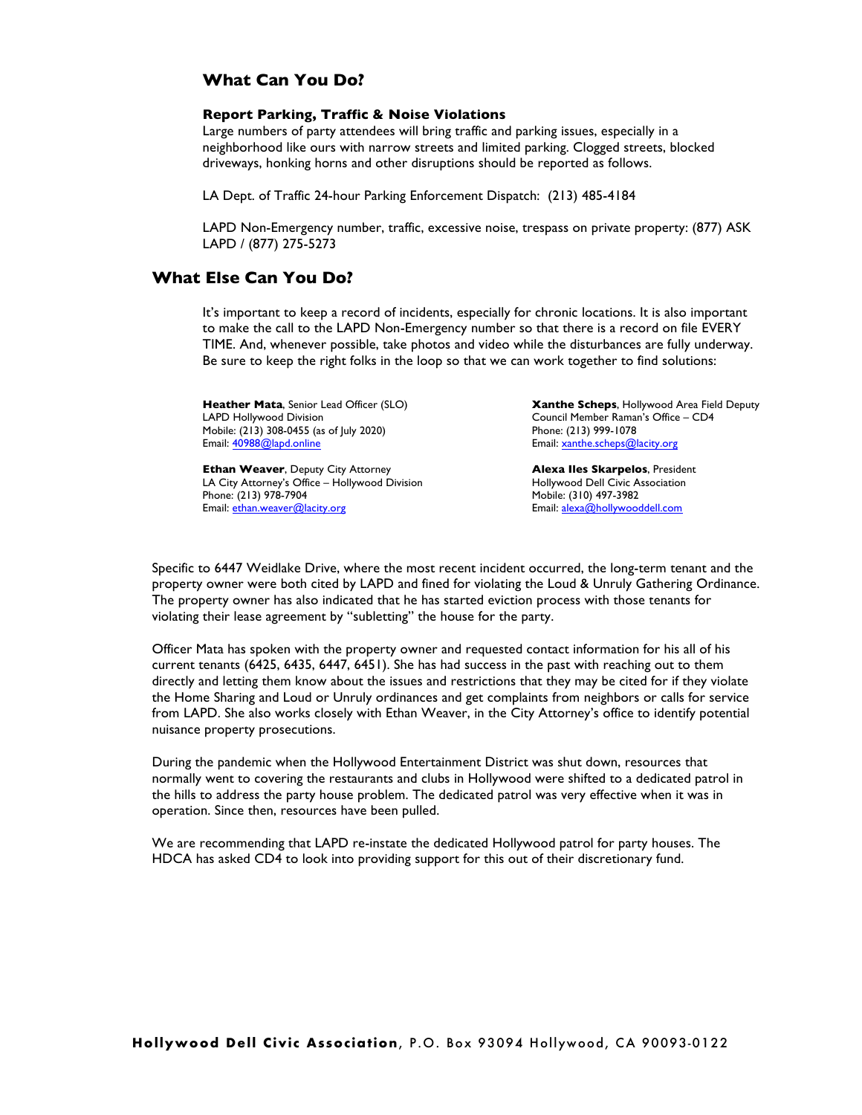## **What Can You Do?**

#### **Report Parking, Traffic & Noise Violations**

Large numbers of party attendees will bring traffic and parking issues, especially in a neighborhood like ours with narrow streets and limited parking. Clogged streets, blocked driveways, honking horns and other disruptions should be reported as follows.

LA Dept. of Traffic 24-hour Parking Enforcement Dispatch: (213) 485-4184

LAPD Non-Emergency number, traffic, excessive noise, trespass on private property: (877) ASK LAPD / (877) 275-5273

## **What Else Can You Do?**

It's important to keep a record of incidents, especially for chronic locations. It is also important to make the call to the LAPD Non-Emergency number so that there is a record on file EVERY TIME. And, whenever possible, take photos and video while the disturbances are fully underway. Be sure to keep the right folks in the loop so that we can work together to find solutions:

**Heather Mata**, Senior Lead Officer (SLO) LAPD Hollywood Division Mobile: (213) 308-0455 (as of July 2020) Email: 40988@lapd.online

**Ethan Weaver**, Deputy City Attorney LA City Attorney's Office – Hollywood Division Phone: (213) 978-7904 Email: ethan.weaver@lacity.org

**Xanthe Scheps**, Hollywood Area Field Deputy Council Member Raman's Office – CD4 Phone: (213) 999-1078 Email: xanthe.scheps@lacity.org

**Alexa Iles Skarpelos**, President Hollywood Dell Civic Association Mobile: (310) 497-3982 Email: alexa@hollywooddell.com

Specific to 6447 Weidlake Drive, where the most recent incident occurred, the long-term tenant and the property owner were both cited by LAPD and fined for violating the Loud & Unruly Gathering Ordinance. The property owner has also indicated that he has started eviction process with those tenants for violating their lease agreement by "subletting" the house for the party.

Officer Mata has spoken with the property owner and requested contact information for his all of his current tenants (6425, 6435, 6447, 6451). She has had success in the past with reaching out to them directly and letting them know about the issues and restrictions that they may be cited for if they violate the Home Sharing and Loud or Unruly ordinances and get complaints from neighbors or calls for service from LAPD. She also works closely with Ethan Weaver, in the City Attorney's office to identify potential nuisance property prosecutions.

During the pandemic when the Hollywood Entertainment District was shut down, resources that normally went to covering the restaurants and clubs in Hollywood were shifted to a dedicated patrol in the hills to address the party house problem. The dedicated patrol was very effective when it was in operation. Since then, resources have been pulled.

We are recommending that LAPD re-instate the dedicated Hollywood patrol for party houses. The HDCA has asked CD4 to look into providing support for this out of their discretionary fund.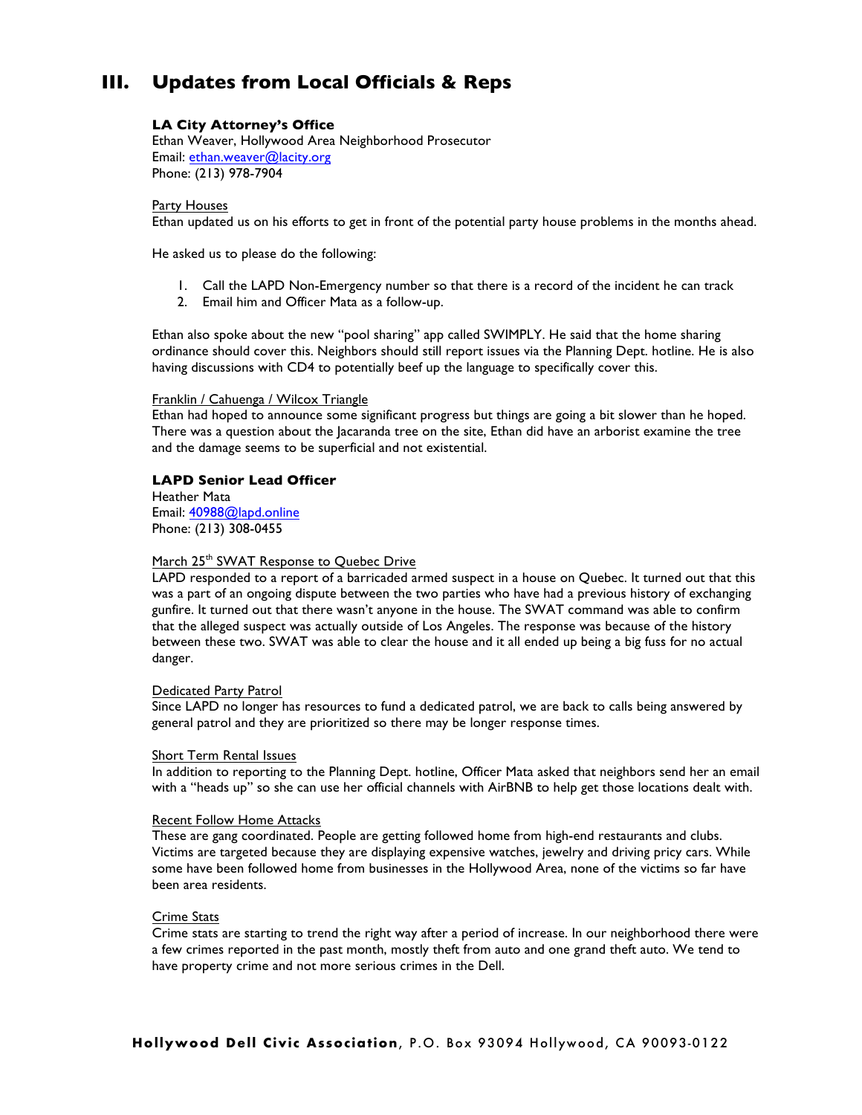# **III. Updates from Local Officials & Reps**

#### **LA City Attorney's Office**

Ethan Weaver, Hollywood Area Neighborhood Prosecutor Email: ethan.weaver@lacity.org Phone: (213) 978-7904

#### Party Houses

Ethan updated us on his efforts to get in front of the potential party house problems in the months ahead.

He asked us to please do the following:

- 1. Call the LAPD Non-Emergency number so that there is a record of the incident he can track
- 2. Email him and Officer Mata as a follow-up.

Ethan also spoke about the new "pool sharing" app called SWIMPLY. He said that the home sharing ordinance should cover this. Neighbors should still report issues via the Planning Dept. hotline. He is also having discussions with CD4 to potentially beef up the language to specifically cover this.

#### Franklin / Cahuenga / Wilcox Triangle

Ethan had hoped to announce some significant progress but things are going a bit slower than he hoped. There was a question about the Jacaranda tree on the site, Ethan did have an arborist examine the tree and the damage seems to be superficial and not existential.

#### **LAPD Senior Lead Officer**

Heather Mata Email: 40988@lapd.online Phone: (213) 308-0455

#### March 25<sup>th</sup> SWAT Response to Quebec Drive

LAPD responded to a report of a barricaded armed suspect in a house on Quebec. It turned out that this was a part of an ongoing dispute between the two parties who have had a previous history of exchanging gunfire. It turned out that there wasn't anyone in the house. The SWAT command was able to confirm that the alleged suspect was actually outside of Los Angeles. The response was because of the history between these two. SWAT was able to clear the house and it all ended up being a big fuss for no actual danger.

#### Dedicated Party Patrol

Since LAPD no longer has resources to fund a dedicated patrol, we are back to calls being answered by general patrol and they are prioritized so there may be longer response times.

#### Short Term Rental Issues

In addition to reporting to the Planning Dept. hotline, Officer Mata asked that neighbors send her an email with a "heads up" so she can use her official channels with AirBNB to help get those locations dealt with.

#### Recent Follow Home Attacks

These are gang coordinated. People are getting followed home from high-end restaurants and clubs. Victims are targeted because they are displaying expensive watches, jewelry and driving pricy cars. While some have been followed home from businesses in the Hollywood Area, none of the victims so far have been area residents.

#### Crime Stats

Crime stats are starting to trend the right way after a period of increase. In our neighborhood there were a few crimes reported in the past month, mostly theft from auto and one grand theft auto. We tend to have property crime and not more serious crimes in the Dell.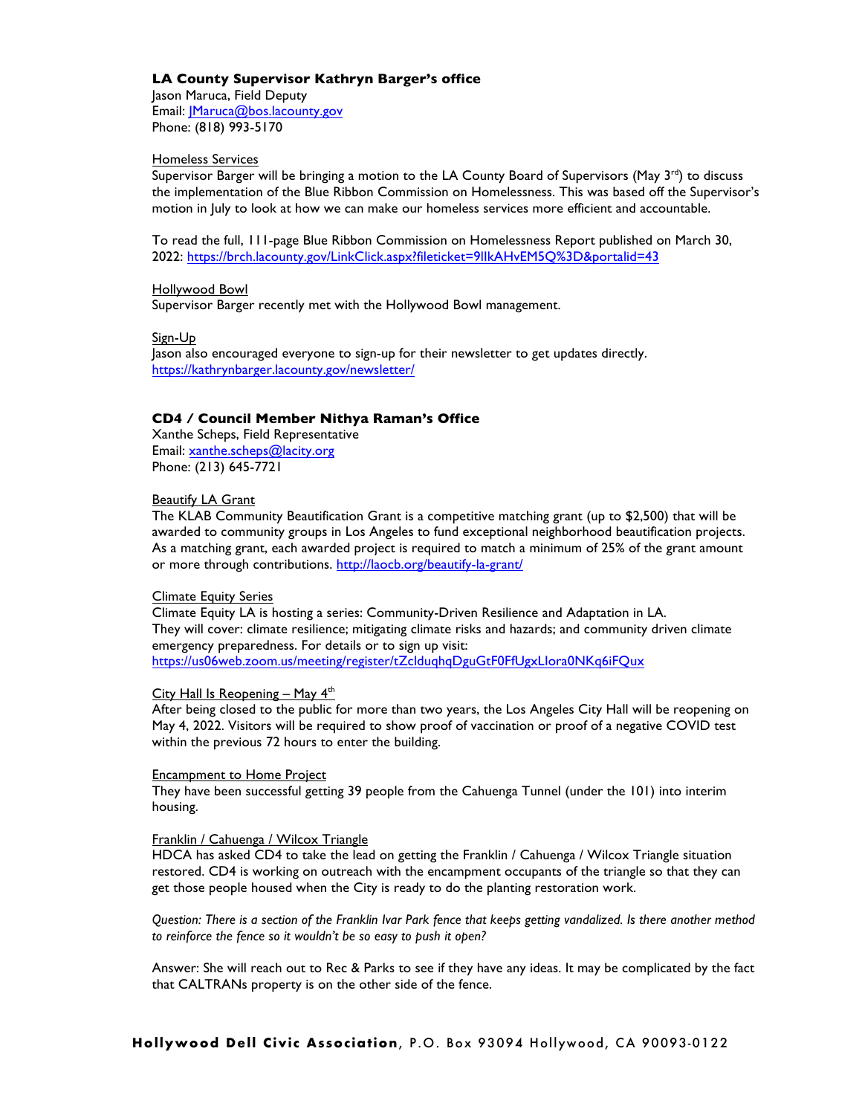#### **LA County Supervisor Kathryn Barger's office**

Jason Maruca, Field Deputy Email: | Maruca@bos.lacounty.gov Phone: (818) 993-5170

#### Homeless Services

Supervisor Barger will be bringing a motion to the LA County Board of Supervisors (May  $3^{rd}$ ) to discuss the implementation of the Blue Ribbon Commission on Homelessness. This was based off the Supervisor's motion in July to look at how we can make our homeless services more efficient and accountable.

To read the full, 111-page Blue Ribbon Commission on Homelessness Report published on March 30, 2022: https://brch.lacounty.gov/LinkClick.aspx?fileticket=9lIkAHvEM5Q%3D&portalid=43

#### Hollywood Bowl

Supervisor Barger recently met with the Hollywood Bowl management.

Sign-Up

Jason also encouraged everyone to sign-up for their newsletter to get updates directly. https://kathrynbarger.lacounty.gov/newsletter/

#### **CD4 / Council Member Nithya Raman's Office**

Xanthe Scheps, Field Representative Email: xanthe.scheps@lacity.org Phone: (213) 645-7721

#### Beautify LA Grant

The KLAB Community Beautification Grant is a competitive matching grant (up to \$2,500) that will be awarded to community groups in Los Angeles to fund exceptional neighborhood beautification projects. As a matching grant, each awarded project is required to match a minimum of 25% of the grant amount or more through contributions. http://laocb.org/beautify-la-grant/

#### Climate Equity Series

Climate Equity LA is hosting a series: Community-Driven Resilience and Adaptation in LA. They will cover: climate resilience; mitigating climate risks and hazards; and community driven climate emergency preparedness. For details or to sign up visit: https://us06web.zoom.us/meeting/register/tZclduqhqDguGtF0FfUgxLIora0NKq6iFQux

#### City Hall Is Reopening – May  $4<sup>th</sup>$

After being closed to the public for more than two years, the Los Angeles City Hall will be reopening on May 4, 2022. Visitors will be required to show proof of vaccination or proof of a negative COVID test within the previous 72 hours to enter the building.

#### Encampment to Home Project

They have been successful getting 39 people from the Cahuenga Tunnel (under the 101) into interim housing.

#### Franklin / Cahuenga / Wilcox Triangle

HDCA has asked CD4 to take the lead on getting the Franklin / Cahuenga / Wilcox Triangle situation restored. CD4 is working on outreach with the encampment occupants of the triangle so that they can get those people housed when the City is ready to do the planting restoration work.

*Question: There is a section of the Franklin Ivar Park fence that keeps getting vandalized. Is there another method to reinforce the fence so it wouldn't be so easy to push it open?*

Answer: She will reach out to Rec & Parks to see if they have any ideas. It may be complicated by the fact that CALTRANs property is on the other side of the fence.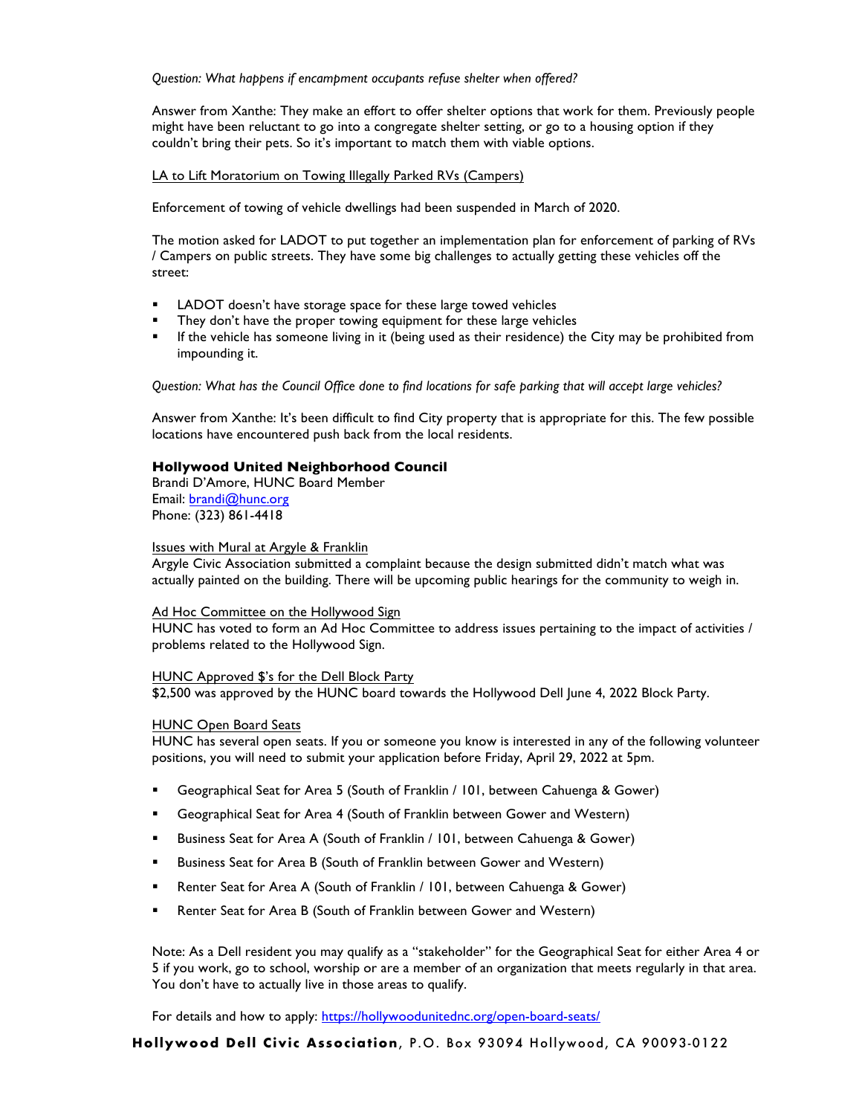*Question: What happens if encampment occupants refuse shelter when offered?* 

Answer from Xanthe: They make an effort to offer shelter options that work for them. Previously people might have been reluctant to go into a congregate shelter setting, or go to a housing option if they couldn't bring their pets. So it's important to match them with viable options.

#### LA to Lift Moratorium on Towing Illegally Parked RVs (Campers)

Enforcement of towing of vehicle dwellings had been suspended in March of 2020.

The motion asked for LADOT to put together an implementation plan for enforcement of parking of RVs / Campers on public streets. They have some big challenges to actually getting these vehicles off the street:

- LADOT doesn't have storage space for these large towed vehicles
- **They don't have the proper towing equipment for these large vehicles**
- ! If the vehicle has someone living in it (being used as their residence) the City may be prohibited from impounding it.

*Question: What has the Council Office done to find locations for safe parking that will accept large vehicles?*

Answer from Xanthe: It's been difficult to find City property that is appropriate for this. The few possible locations have encountered push back from the local residents.

#### **Hollywood United Neighborhood Council**

Brandi D'Amore, HUNC Board Member Email: brandi@hunc.org Phone: (323) 861-4418

#### Issues with Mural at Argyle & Franklin

Argyle Civic Association submitted a complaint because the design submitted didn't match what was actually painted on the building. There will be upcoming public hearings for the community to weigh in.

#### Ad Hoc Committee on the Hollywood Sign

HUNC has voted to form an Ad Hoc Committee to address issues pertaining to the impact of activities / problems related to the Hollywood Sign.

#### HUNC Approved \$'s for the Dell Block Party

\$2,500 was approved by the HUNC board towards the Hollywood Dell June 4, 2022 Block Party.

#### HUNC Open Board Seats

HUNC has several open seats. If you or someone you know is interested in any of the following volunteer positions, you will need to submit your application before Friday, April 29, 2022 at 5pm.

- ! Geographical Seat for Area 5 (South of Franklin / 101, between Cahuenga & Gower)
- ! Geographical Seat for Area 4 (South of Franklin between Gower and Western)
- ! Business Seat for Area A (South of Franklin / 101, between Cahuenga & Gower)
- ! Business Seat for Area B (South of Franklin between Gower and Western)
- **EXEL Area A COOCO EXEL A** (South of Franklin / 101, between Cahuenga & Gower)
- **E** Renter Seat for Area B (South of Franklin between Gower and Western)

Note: As a Dell resident you may qualify as a "stakeholder" for the Geographical Seat for either Area 4 or 5 if you work, go to school, worship or are a member of an organization that meets regularly in that area. You don't have to actually live in those areas to qualify.

For details and how to apply: https://hollywoodunitednc.org/open-board-seats/

**Hollywood Dell Civic Association**, P.O. Box 93094 Hollywood, CA 90093-0122